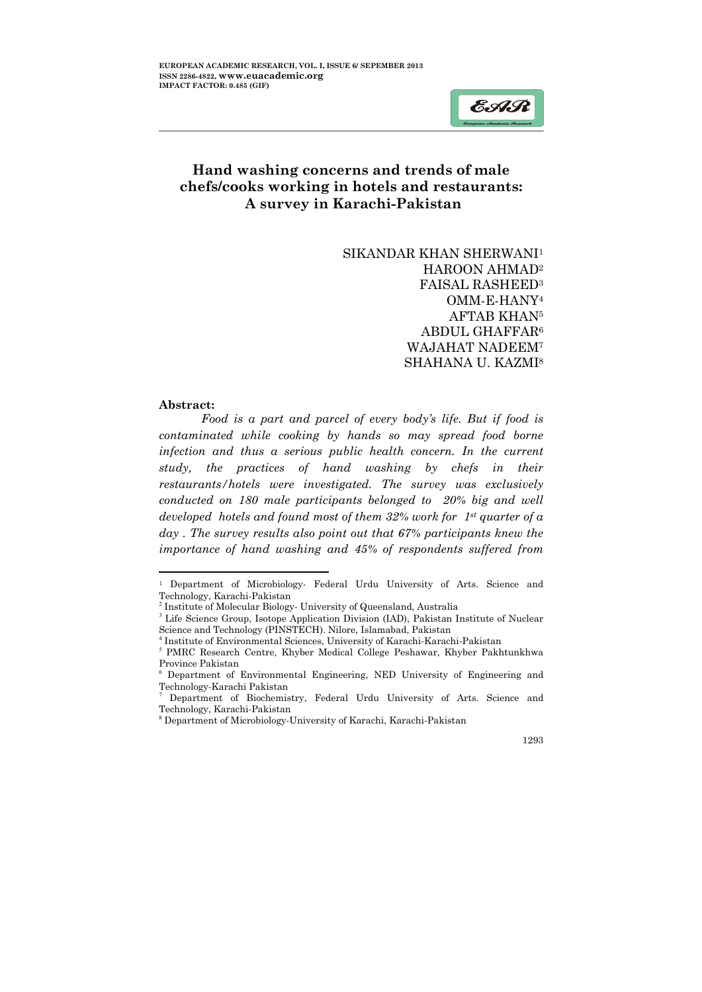# Hand washing concerns and trends of male chefs/cooks working in hotels and restaurants: A survey in Karachi-Pakistan

SIKANDAR KHAN SHERWANI1 HAROON AHMAD2 FAISAL RASHEED3 OMM-E-HANY4 AFTAB KHAN5 ABDUL GHAFFAR6 WAJAHAT NADEEM7 SHAHANA U. KAZMI8

#### Abstract:

 $\ddot{\phantom{a}}$ 

*Food is a part and parcel of every body's life. But if food is contaminated while cooking by hands so may spread food borne infection and thus a serious public health concern. In the current study, the practices of hand washing by chefs in their restaurants/hotels were investigated. The survey was exclusively conducted on 180 male participants belonged to 20% big and well developed hotels and found most of them 32% work for 1st quarter of a day . The survey results also point out that 67% participants knew the importance of hand washing and 45% of respondents suffered from* 

1293

ļ

EAR

<sup>1</sup> Department of Microbiology- Federal Urdu University of Arts. Science and Technology, Karachi-Pakistan

<sup>&</sup>lt;sup>2</sup> Institute of Molecular Biology- University of Queensland, Australia

<sup>&</sup>lt;sup>3</sup> Life Science Group, Isotope Application Division (IAD), Pakistan Institute of Nuclear Science and Technology (PINSTECH). Nilore, Islamabad, Pakistan

<sup>4</sup> Institute of Environmental Sciences, University of Karachi-Karachi-Pakistan

<sup>5</sup> PMRC Research Centre, Khyber Medical College Peshawar, Khyber Pakhtunkhwa Province Pakistan

<sup>6</sup> Department of Environmental Engineering, NED University of Engineering and Technology-Karachi Pakistan

<sup>7</sup> Department of Biochemistry, Federal Urdu University of Arts. Science and Technology, Karachi-Pakistan

<sup>8</sup> Department of Microbiology-University of Karachi, Karachi-Pakistan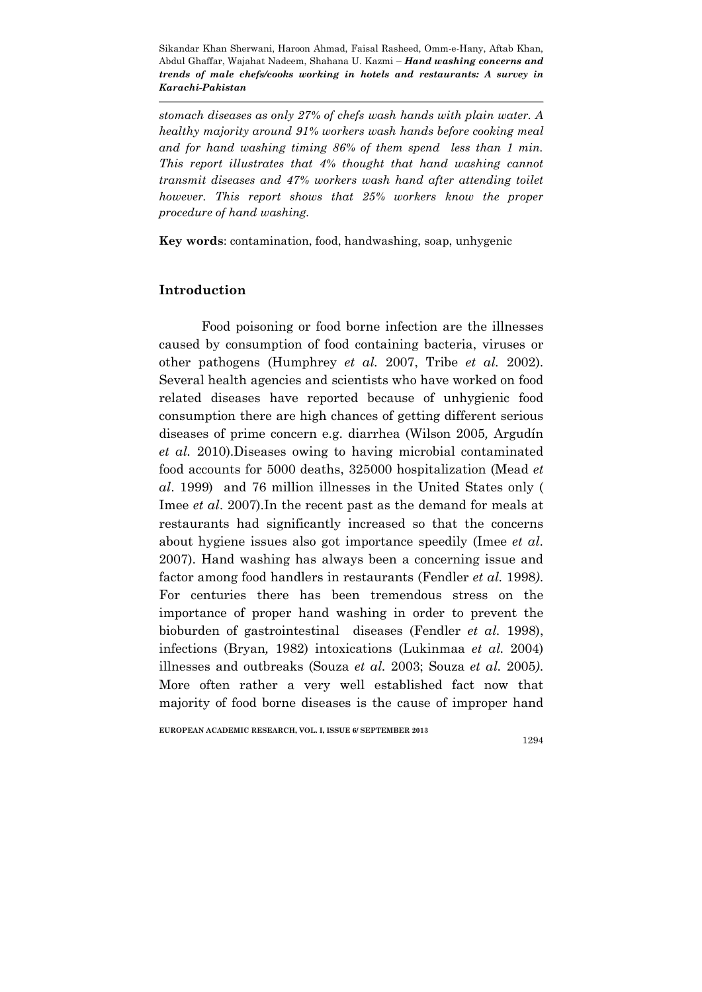*stomach diseases as only 27% of chefs wash hands with plain water. A healthy majority around 91% workers wash hands before cooking meal and for hand washing timing 86% of them spend less than 1 min. This report illustrates that 4% thought that hand washing cannot transmit diseases and 47% workers wash hand after attending toilet however. This report shows that 25% workers know the proper procedure of hand washing.*

Key words: contamination, food, handwashing, soap, unhygenic

### Introduction

Food poisoning or food borne infection are the illnesses caused by consumption of food containing bacteria, viruses or other pathogens (Humphrey *et al.* 2007, Tribe *et al.* 2002). Several health agencies and scientists who have worked on food related diseases have reported because of unhygienic food consumption there are high chances of getting different serious diseases of prime concern e.g. diarrhea (Wilson 2005*,* Argudín *et al.* 2010).Diseases owing to having microbial contaminated food accounts for 5000 deaths, 325000 hospitalization (Mead *et al*. 1999) and 76 million illnesses in the United States only ( Imee *et al*. 2007).In the recent past as the demand for meals at restaurants had significantly increased so that the concerns about hygiene issues also got importance speedily (Imee *et al*. 2007). Hand washing has always been a concerning issue and factor among food handlers in restaurants (Fendler *et al.* 1998*)*. For centuries there has been tremendous stress on the importance of proper hand washing in order to prevent the bioburden of gastrointestinal diseases (Fendler *et al.* 1998), infections (Bryan*,* 1982) intoxications (Lukinmaa *et al.* 2004) illnesses and outbreaks (Souza *et al.* 2003; Souza *et al.* 2005*)*. More often rather a very well established fact now that majority of food borne diseases is the cause of improper hand

#### EUROPEAN ACADEMIC RESEARCH, VOL. I, ISSUE 6/ SEPTEMBER 2013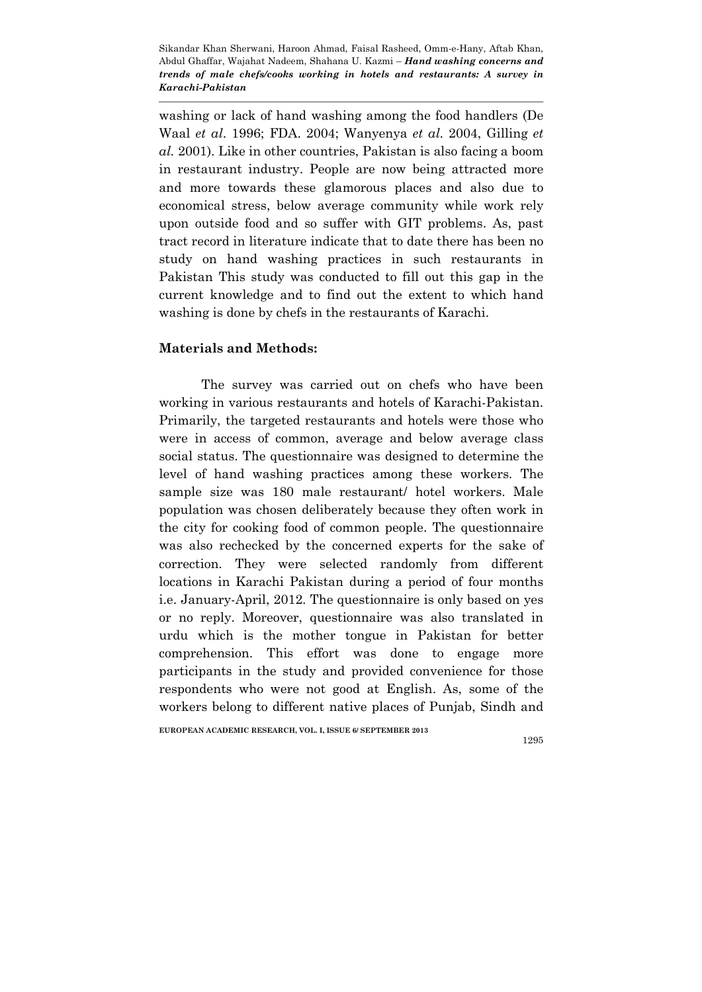washing or lack of hand washing among the food handlers (De Waal *et al*. 1996; FDA. 2004; Wanyenya *et al.* 2004, Gilling *et al.* 2001). Like in other countries, Pakistan is also facing a boom in restaurant industry. People are now being attracted more and more towards these glamorous places and also due to economical stress, below average community while work rely upon outside food and so suffer with GIT problems. As, past tract record in literature indicate that to date there has been no study on hand washing practices in such restaurants in Pakistan This study was conducted to fill out this gap in the current knowledge and to find out the extent to which hand washing is done by chefs in the restaurants of Karachi.

## Materials and Methods:

The survey was carried out on chefs who have been working in various restaurants and hotels of Karachi-Pakistan. Primarily, the targeted restaurants and hotels were those who were in access of common, average and below average class social status. The questionnaire was designed to determine the level of hand washing practices among these workers. The sample size was 180 male restaurant/ hotel workers. Male population was chosen deliberately because they often work in the city for cooking food of common people. The questionnaire was also rechecked by the concerned experts for the sake of correction. They were selected randomly from different locations in Karachi Pakistan during a period of four months i.e. January-April, 2012. The questionnaire is only based on yes or no reply. Moreover, questionnaire was also translated in urdu which is the mother tongue in Pakistan for better comprehension. This effort was done to engage more participants in the study and provided convenience for those respondents who were not good at English. As, some of the workers belong to different native places of Punjab, Sindh and

EUROPEAN ACADEMIC RESEARCH, VOL. I, ISSUE 6/ SEPTEMBER 2013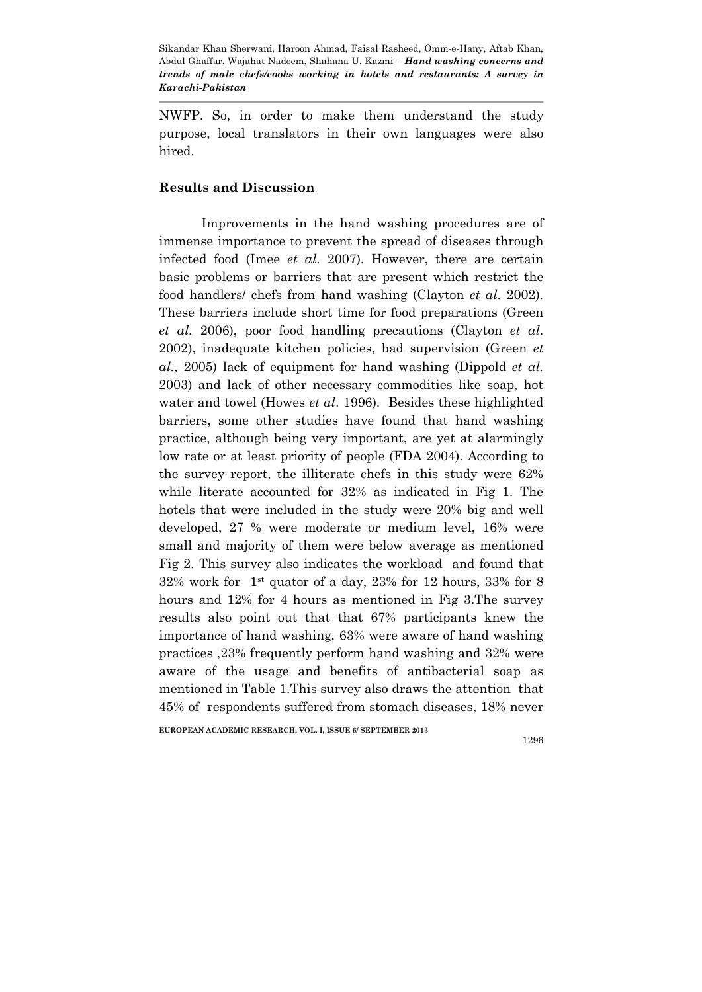NWFP. So, in order to make them understand the study purpose, local translators in their own languages were also hired.

## Results and Discussion

Improvements in the hand washing procedures are of immense importance to prevent the spread of diseases through infected food (Imee *et al*. 2007). However, there are certain basic problems or barriers that are present which restrict the food handlers/ chefs from hand washing (Clayton *et al*. 2002). These barriers include short time for food preparations (Green *et al.* 2006), poor food handling precautions (Clayton *et al*. 2002), inadequate kitchen policies, bad supervision (Green *et al.,* 2005) lack of equipment for hand washing (Dippold *et al.* 2003) and lack of other necessary commodities like soap, hot water and towel (Howes *et al*. 1996). Besides these highlighted barriers, some other studies have found that hand washing practice, although being very important, are yet at alarmingly low rate or at least priority of people (FDA 2004). According to the survey report, the illiterate chefs in this study were 62% while literate accounted for 32% as indicated in Fig 1. The hotels that were included in the study were 20% big and well developed, 27 % were moderate or medium level, 16% were small and majority of them were below average as mentioned Fig 2. This survey also indicates the workload and found that  $32\%$  work for 1<sup>st</sup> quator of a day, 23% for 12 hours, 33% for 8 hours and 12% for 4 hours as mentioned in Fig 3.The survey results also point out that that 67% participants knew the importance of hand washing, 63% were aware of hand washing practices ,23% frequently perform hand washing and 32% were aware of the usage and benefits of antibacterial soap as mentioned in Table 1.This survey also draws the attention that 45% of respondents suffered from stomach diseases, 18% never

EUROPEAN ACADEMIC RESEARCH, VOL. I, ISSUE 6/ SEPTEMBER 2013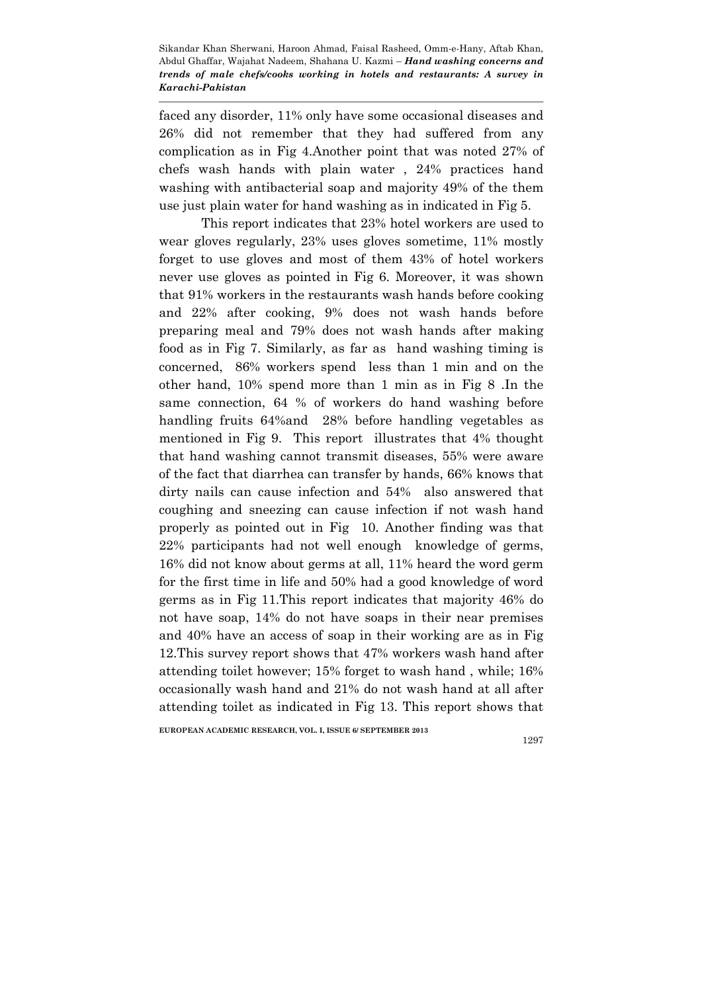faced any disorder, 11% only have some occasional diseases and 26% did not remember that they had suffered from any complication as in Fig 4.Another point that was noted 27% of chefs wash hands with plain water , 24% practices hand washing with antibacterial soap and majority 49% of the them use just plain water for hand washing as in indicated in Fig 5.

This report indicates that 23% hotel workers are used to wear gloves regularly, 23% uses gloves sometime, 11% mostly forget to use gloves and most of them 43% of hotel workers never use gloves as pointed in Fig 6. Moreover, it was shown that 91% workers in the restaurants wash hands before cooking and 22% after cooking, 9% does not wash hands before preparing meal and 79% does not wash hands after making food as in Fig 7. Similarly, as far as hand washing timing is concerned, 86% workers spend less than 1 min and on the other hand, 10% spend more than 1 min as in Fig 8 .In the same connection, 64 % of workers do hand washing before handling fruits 64%and 28% before handling vegetables as mentioned in Fig 9. This report illustrates that 4% thought that hand washing cannot transmit diseases, 55% were aware of the fact that diarrhea can transfer by hands, 66% knows that dirty nails can cause infection and 54% also answered that coughing and sneezing can cause infection if not wash hand properly as pointed out in Fig 10. Another finding was that 22% participants had not well enough knowledge of germs, 16% did not know about germs at all, 11% heard the word germ for the first time in life and 50% had a good knowledge of word germs as in Fig 11.This report indicates that majority 46% do not have soap, 14% do not have soaps in their near premises and 40% have an access of soap in their working are as in Fig 12.This survey report shows that 47% workers wash hand after attending toilet however; 15% forget to wash hand , while; 16% occasionally wash hand and 21% do not wash hand at all after attending toilet as indicated in Fig 13. This report shows that

EUROPEAN ACADEMIC RESEARCH, VOL. I, ISSUE 6/ SEPTEMBER 2013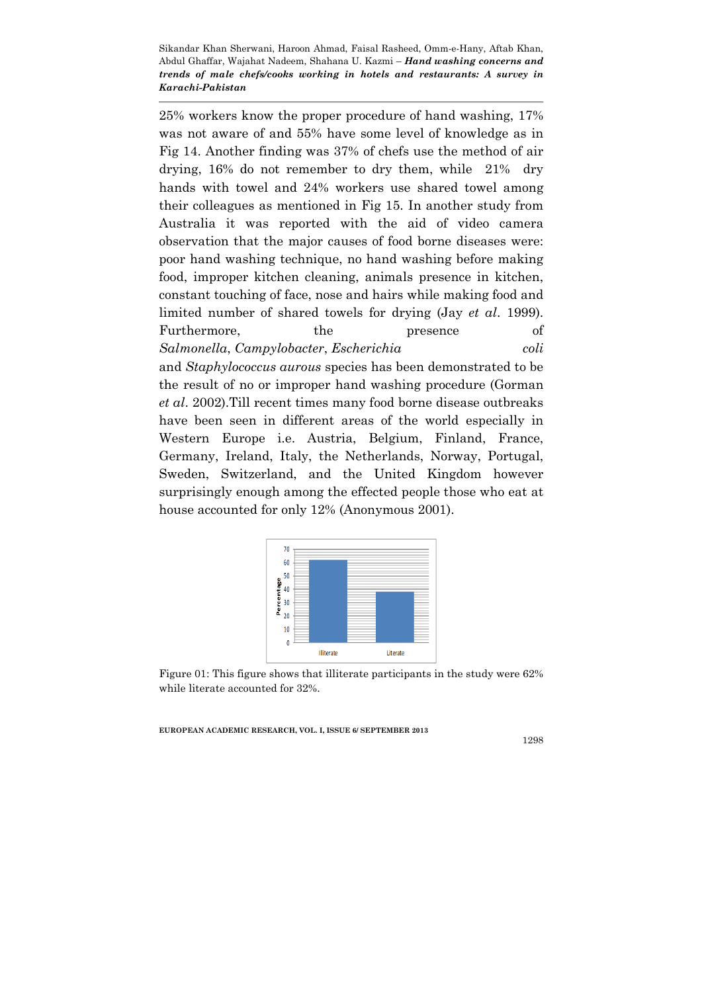25% workers know the proper procedure of hand washing, 17% was not aware of and 55% have some level of knowledge as in Fig 14. Another finding was 37% of chefs use the method of air drying, 16% do not remember to dry them, while 21% dry hands with towel and 24% workers use shared towel among their colleagues as mentioned in Fig 15. In another study from Australia it was reported with the aid of video camera observation that the major causes of food borne diseases were: poor hand washing technique, no hand washing before making food, improper kitchen cleaning, animals presence in kitchen, constant touching of face, nose and hairs while making food and limited number of shared towels for drying (Jay *et al*. 1999). Furthermore, the presence of *Salmonella*, *Campylobacter*, *Escherichia coli*  and *Staphylococcus aurous* species has been demonstrated to be the result of no or improper hand washing procedure (Gorman *et al*. 2002).Till recent times many food borne disease outbreaks have been seen in different areas of the world especially in Western Europe i.e. Austria, Belgium, Finland, France, Germany, Ireland, Italy, the Netherlands, Norway, Portugal, Sweden, Switzerland, and the United Kingdom however surprisingly enough among the effected people those who eat at



Figure 01: This figure shows that illiterate participants in the study were 62% while literate accounted for 32%.

EUROPEAN ACADEMIC RESEARCH, VOL. I, ISSUE 6/ SEPTEMBER 2013

house accounted for only 12% (Anonymous 2001).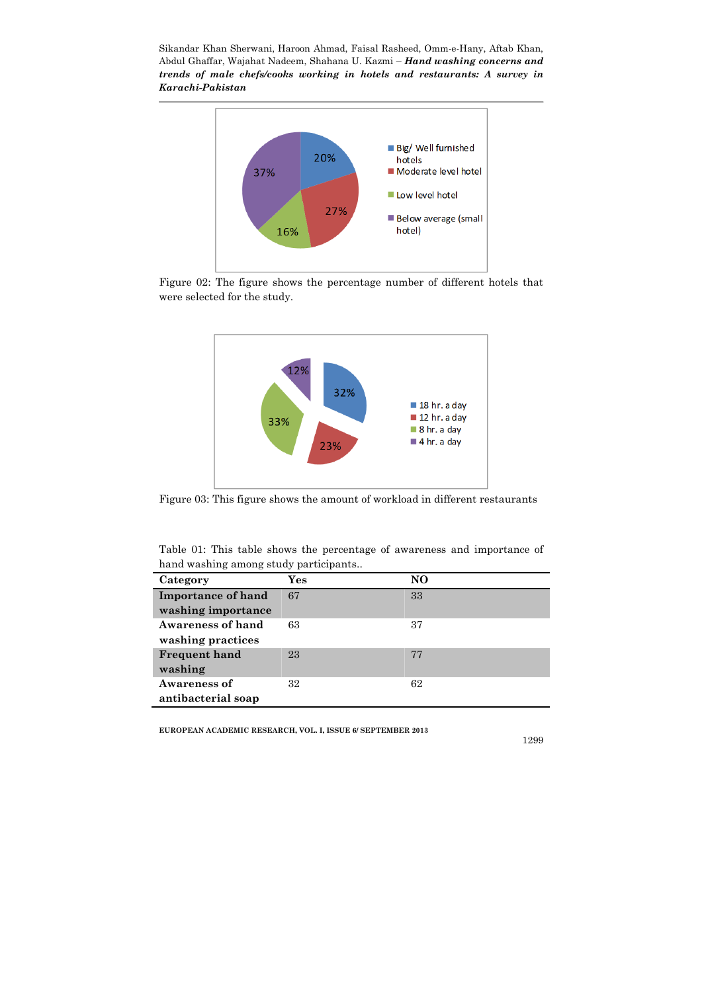

Figure 02: The figure shows the percentage number of different hotels that were selected for the study.



Figure 03: This figure shows the amount of workload in different restaurants

Table 01: This table shows the percentage of awareness and importance of hand washing among study participants..

| Category                  | Yes | NO |
|---------------------------|-----|----|
| <b>Importance of hand</b> | 67  | 33 |
| washing importance        |     |    |
| <b>Awareness of hand</b>  | 63  | 37 |
| washing practices         |     |    |
| <b>Frequent hand</b>      | 23  | 77 |
| washing                   |     |    |
| Awareness of              | 32  | 62 |
| antibacterial soap        |     |    |

EUROPEAN ACADEMIC RESEARCH, VOL. I, ISSUE 6/ SEPTEMBER 2013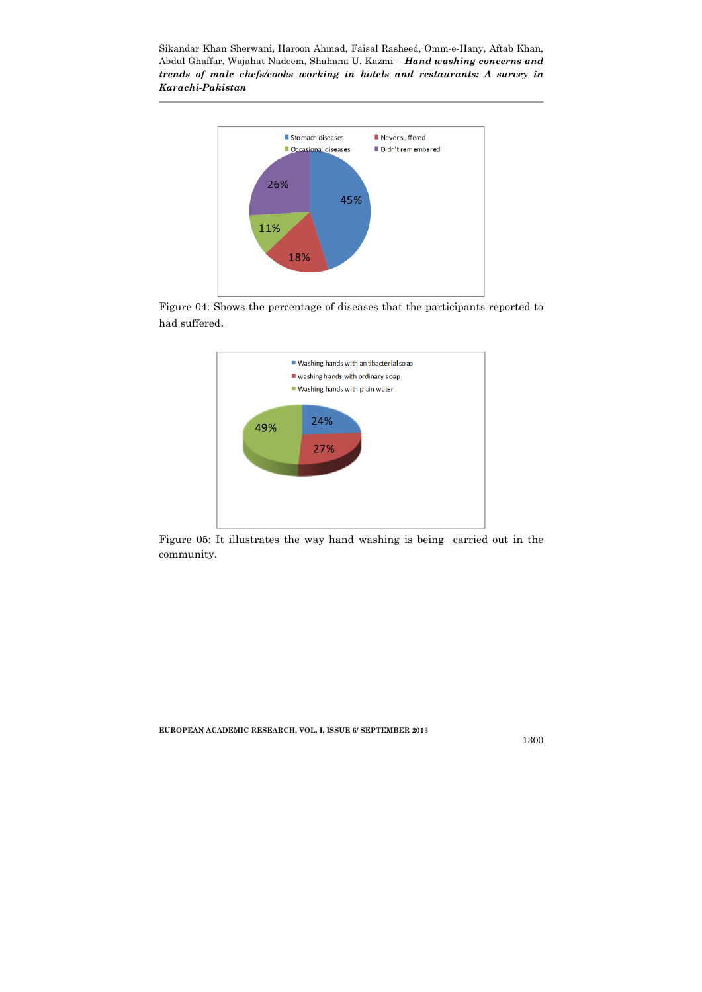

Figure 04: Shows the percentage of diseases that the participants reported to had suffered.



Figure 05: It illustrates the way hand washing is being carried out in the community.

EUROPEAN ACADEMIC RESEARCH, VOL. I, ISSUE 6/ SEPTEMBER 2013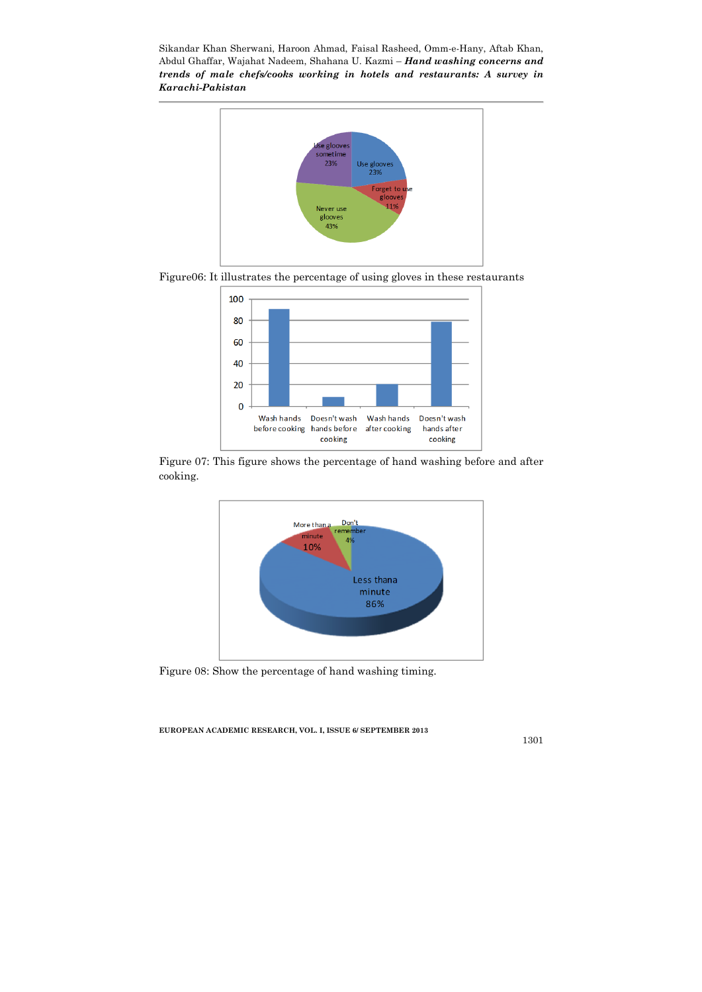





Figure 07: This figure shows the percentage of hand washing before and after cooking.



Figure 08: Show the percentage of hand washing timing.

EUROPEAN ACADEMIC RESEARCH, VOL. I, ISSUE 6/ SEPTEMBER 2013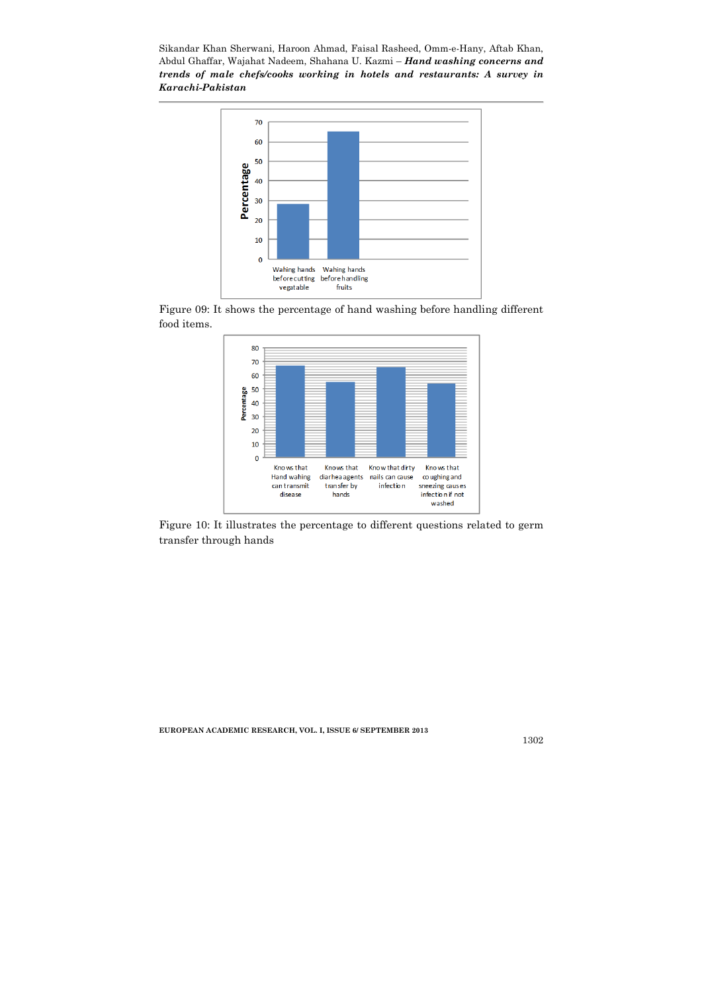

Figure 09: It shows the percentage of hand washing before handling different food items.



Figure 10: It illustrates the percentage to different questions related to germ transfer through hands

EUROPEAN ACADEMIC RESEARCH, VOL. I, ISSUE 6/ SEPTEMBER 2013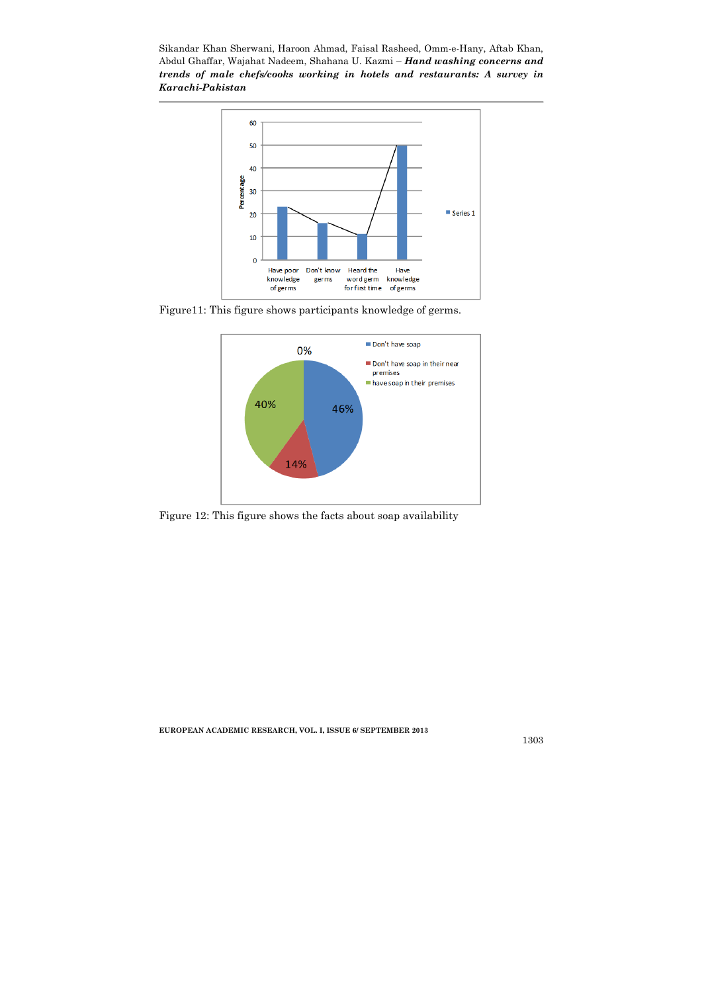

Figure11: This figure shows participants knowledge of germs.



Figure 12: This figure shows the facts about soap availability

EUROPEAN ACADEMIC RESEARCH, VOL. I, ISSUE 6/ SEPTEMBER 2013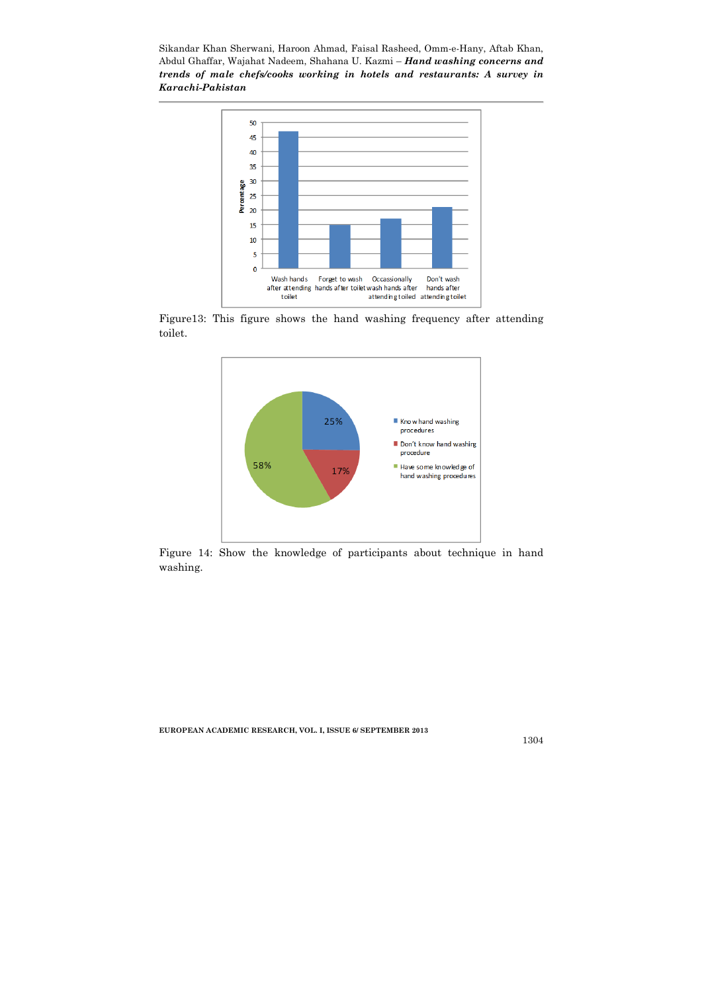

Figure13: This figure shows the hand washing frequency after attending toilet.



Figure 14: Show the knowledge of participants about technique in hand washing.

EUROPEAN ACADEMIC RESEARCH, VOL. I, ISSUE 6/ SEPTEMBER 2013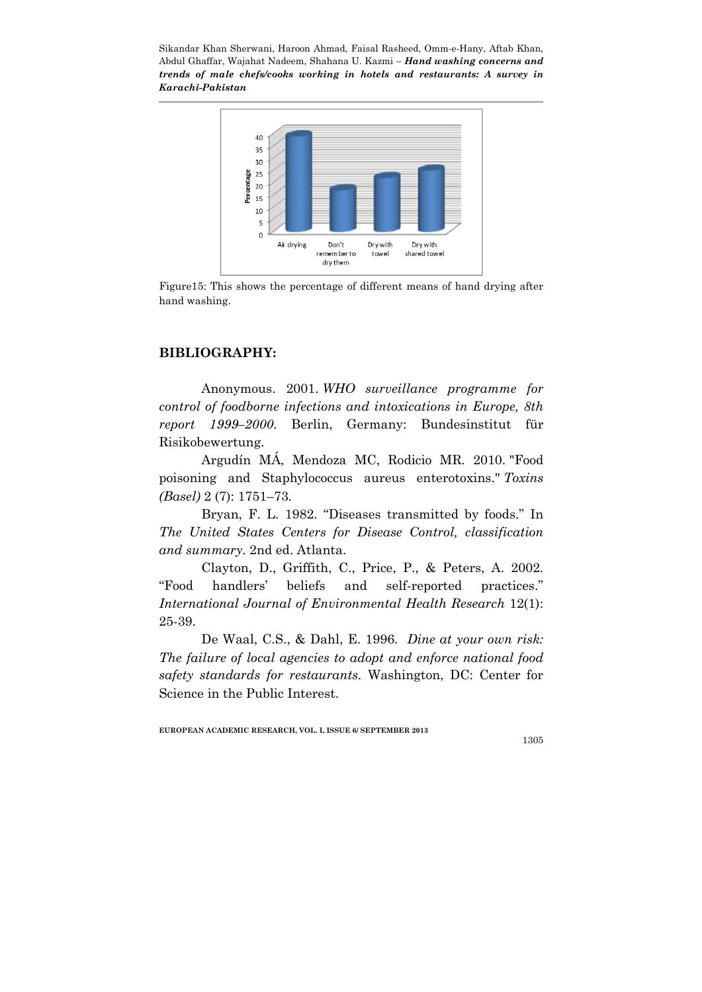

Figure15: This shows the percentage of different means of hand drying after hand washing.

## BIBLIOGRAPHY:

Anonymous. 2001. *WHO surveillance programme for control of foodborne infections and intoxications in Europe, 8th report 1999–2000*. Berlin, Germany: Bundesinstitut für Risikobewertung.

Argudín MÁ, Mendoza MC, Rodicio MR. 2010. "Food poisoning and Staphylococcus aureus enterotoxins." *Toxins (Basel)* 2 (7): 1751–73.

Bryan, F. L. 1982. "Diseases transmitted by foods." In *The United States Centers for Disease Control, classification and summary*. 2nd ed. Atlanta.

Clayton, D., Griffith, C., Price, P., & Peters, A. 2002. "Food handlers' beliefs and self-reported practices." *International Journal of Environmental Health Research* 12(1): 25-39.

De Waal, C.S., & Dahl, E. 1996. *Dine at your own risk: The failure of local agencies to adopt and enforce national food safety standards for restaurants*. Washington, DC: Center for Science in the Public Interest.

EUROPEAN ACADEMIC RESEARCH, VOL. I, ISSUE 6/ SEPTEMBER 2013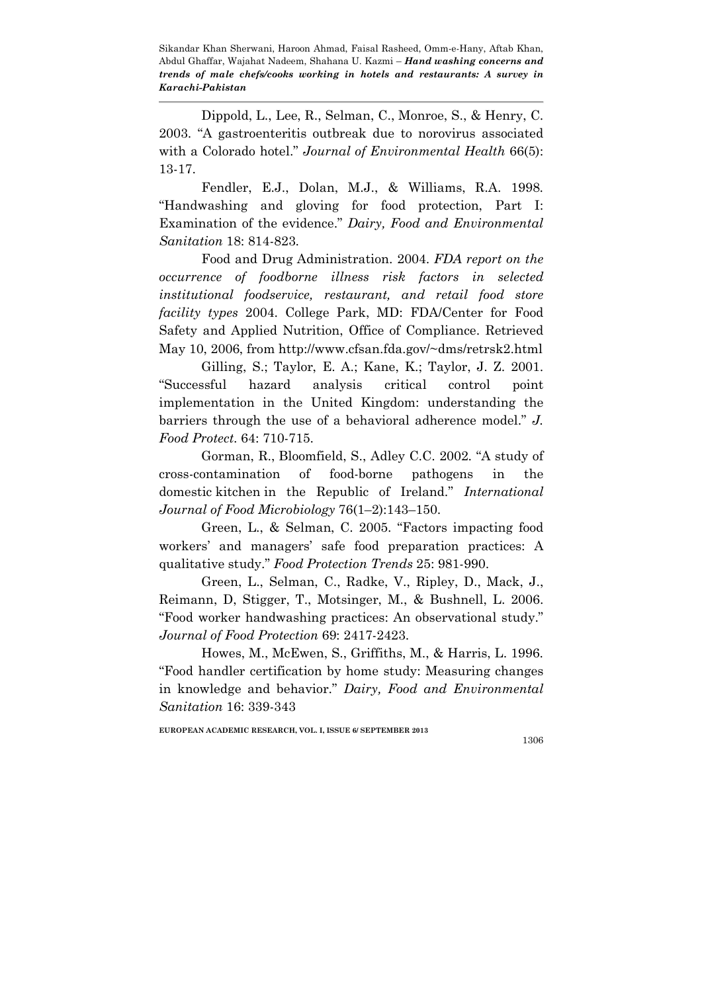Dippold, L., Lee, R., Selman, C., Monroe, S., & Henry, C. 2003. "A gastroenteritis outbreak due to norovirus associated with a Colorado hotel." *Journal of Environmental Health* 66(5): 13-17.

Fendler, E.J., Dolan, M.J., & Williams, R.A. 1998. "Handwashing and gloving for food protection, Part I: Examination of the evidence." *Dairy, Food and Environmental Sanitation* 18: 814-823.

Food and Drug Administration. 2004. *FDA report on the occurrence of foodborne illness risk factors in selected institutional foodservice, restaurant, and retail food store facility types* 2004. College Park, MD: FDA/Center for Food Safety and Applied Nutrition, Office of Compliance. Retrieved May 10, 2006, from http://www.cfsan.fda.gov/~dms/retrsk2.html

Gilling, S.; Taylor, E. A.; Kane, K.; Taylor, J. Z. 2001. "Successful hazard analysis critical control point implementation in the United Kingdom: understanding the barriers through the use of a behavioral adherence model." *J. Food Protect*. 64: 710-715.

Gorman, R., Bloomfield, S., Adley C.C. 2002. "A study of cross-contamination of food-borne pathogens in the domestic kitchen in the Republic of Ireland." *International Journal of Food Microbiology* 76(1–2):143–150.

Green, L., & Selman, C. 2005. "Factors impacting food workers' and managers' safe food preparation practices: A qualitative study." *Food Protection Trends* 25: 981-990.

Green, L., Selman, C., Radke, V., Ripley, D., Mack, J., Reimann, D, Stigger, T., Motsinger, M., & Bushnell, L. 2006. "Food worker handwashing practices: An observational study." *Journal of Food Protection* 69: 2417-2423.

Howes, M., McEwen, S., Griffiths, M., & Harris, L. 1996. "Food handler certification by home study: Measuring changes in knowledge and behavior." *Dairy, Food and Environmental Sanitation* 16: 339-343

EUROPEAN ACADEMIC RESEARCH, VOL. I, ISSUE 6/ SEPTEMBER 2013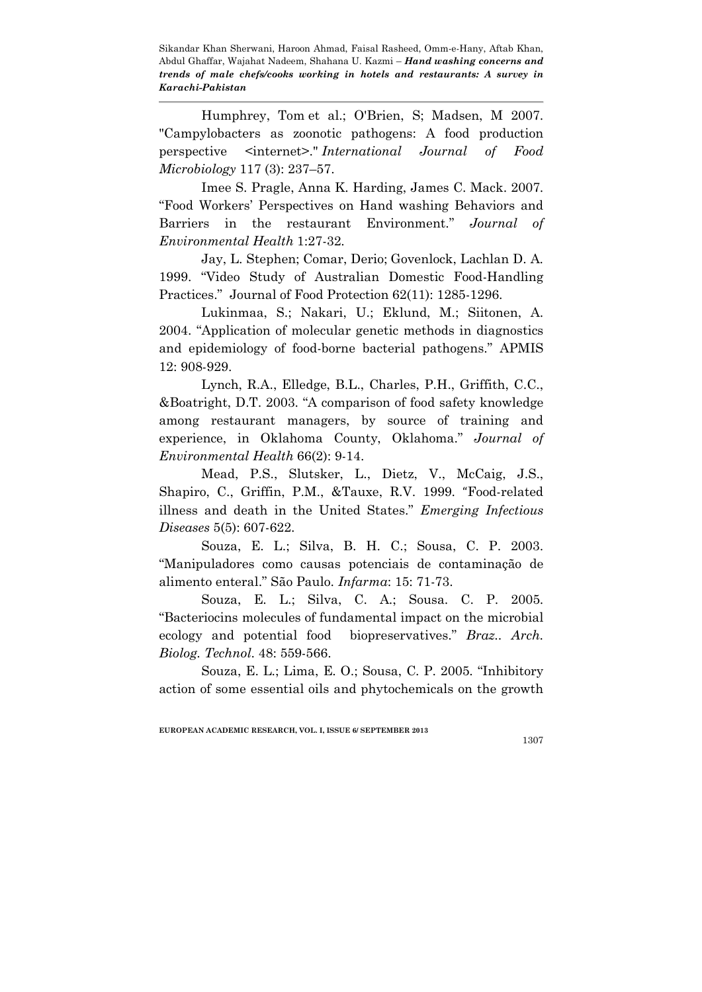Humphrey, Tom et al.; O'Brien, S; Madsen, M 2007. "Campylobacters as zoonotic pathogens: A food production perspective <internet>." *International Journal of Food Microbiology* 117 (3): 237–57.

Imee S. Pragle, Anna K. Harding, James C. Mack. 2007. "Food Workers' Perspectives on Hand washing Behaviors and Barriers in the restaurant Environment." *Journal of Environmental Health* 1:27-32.

Jay, L. Stephen; Comar, Derio; Govenlock, Lachlan D. A. 1999. "Video Study of Australian Domestic Food-Handling Practices." Journal of Food Protection 62(11): 1285-1296.

Lukinmaa, S.; Nakari, U.; Eklund, M.; Siitonen, A. 2004. "Application of molecular genetic methods in diagnostics and epidemiology of food-borne bacterial pathogens." APMIS 12: 908-929.

Lynch, R.A., Elledge, B.L., Charles, P.H., Griffith, C.C., &Boatright, D.T. 2003. "A comparison of food safety knowledge among restaurant managers, by source of training and experience, in Oklahoma County, Oklahoma." *Journal of Environmental Health* 66(2): 9-14.

Mead, P.S., Slutsker, L., Dietz, V., McCaig, J.S., Shapiro, C., Griffin, P.M., &Tauxe, R.V. 1999. "Food-related illness and death in the United States." *Emerging Infectious Diseases* 5(5): 607-622.

Souza, E. L.; Silva, B. H. C.; Sousa, C. P. 2003. "Manipuladores como causas potenciais de contaminação de alimento enteral." São Paulo. *Infarma*: 15: 71-73.

Souza, E. L.; Silva, C. A.; Sousa. C. P. 2005. "Bacteriocins molecules of fundamental impact on the microbial ecology and potential food biopreservatives." *Braz.. Arch. Biolog. Technol*. 48: 559-566.

Souza, E. L.; Lima, E. O.; Sousa, C. P. 2005. "Inhibitory action of some essential oils and phytochemicals on the growth

EUROPEAN ACADEMIC RESEARCH, VOL. I, ISSUE 6/ SEPTEMBER 2013